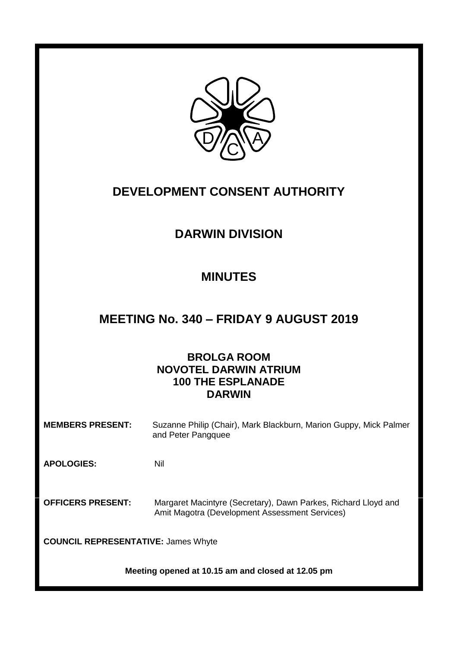

# **DEVELOPMENT CONSENT AUTHORITY**

# **DARWIN DIVISION**

# **MINUTES**

# **MEETING No. 340 – FRIDAY 9 AUGUST 2019**

# **BROLGA ROOM NOVOTEL DARWIN ATRIUM 100 THE ESPLANADE DARWIN**

**MEMBERS PRESENT:** Suzanne Philip (Chair), Mark Blackburn, Marion Guppy, Mick Palmer and Peter Pangquee

**APOLOGIES:** Nil

**OFFICERS PRESENT:** Margaret Macintyre (Secretary), Dawn Parkes, Richard Lloyd and Amit Magotra (Development Assessment Services)

**COUNCIL REPRESENTATIVE:** James Whyte

**Meeting opened at 10.15 am and closed at 12.05 pm**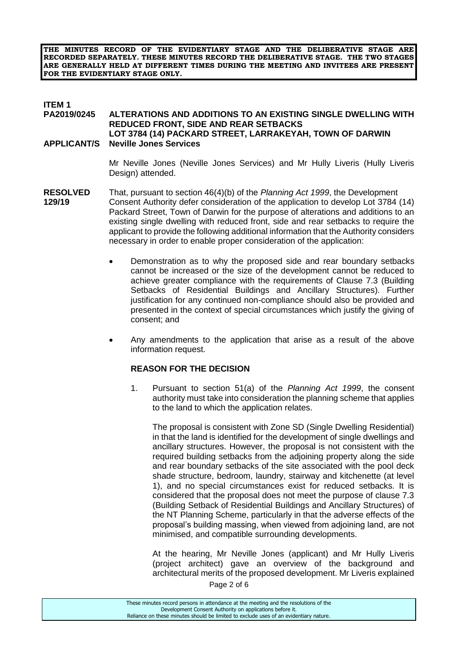**THE MINUTES RECORD OF THE EVIDENTIARY STAGE AND THE DELIBERATIVE STAGE ARE RECORDED SEPARATELY. THESE MINUTES RECORD THE DELIBERATIVE STAGE. THE TWO STAGES ARE GENERALLY HELD AT DIFFERENT TIMES DURING THE MEETING AND INVITEES ARE PRESENT FOR THE EVIDENTIARY STAGE ONLY.**

#### **ITEM 1**<br>**PA2019/0245 PA2019/0245 ALTERATIONS AND ADDITIONS TO AN EXISTING SINGLE DWELLING WITH REDUCED FRONT, SIDE AND REAR SETBACKS LOT 3784 (14) PACKARD STREET, LARRAKEYAH, TOWN OF DARWIN APPLICANT/S Neville Jones Services**

Mr Neville Jones (Neville Jones Services) and Mr Hully Liveris (Hully Liveris Design) attended.

- **RESOLVED** That, pursuant to section 46(4)(b) of the *Planning Act 1999*, the Development **129/19** Consent Authority defer consideration of the application to develop Lot 3784 (14) Packard Street, Town of Darwin for the purpose of alterations and additions to an existing single dwelling with reduced front, side and rear setbacks to require the applicant to provide the following additional information that the Authority considers necessary in order to enable proper consideration of the application:
	- Demonstration as to why the proposed side and rear boundary setbacks cannot be increased or the size of the development cannot be reduced to achieve greater compliance with the requirements of Clause 7.3 (Building Setbacks of Residential Buildings and Ancillary Structures). Further justification for any continued non-compliance should also be provided and presented in the context of special circumstances which justify the giving of consent; and
	- Any amendments to the application that arise as a result of the above information request.

#### **REASON FOR THE DECISION**

1. Pursuant to section 51(a) of the *Planning Act 1999*, the consent authority must take into consideration the planning scheme that applies to the land to which the application relates.

The proposal is consistent with Zone SD (Single Dwelling Residential) in that the land is identified for the development of single dwellings and ancillary structures. However, the proposal is not consistent with the required building setbacks from the adjoining property along the side and rear boundary setbacks of the site associated with the pool deck shade structure, bedroom, laundry, stairway and kitchenette (at level 1), and no special circumstances exist for reduced setbacks. It is considered that the proposal does not meet the purpose of clause 7.3 (Building Setback of Residential Buildings and Ancillary Structures) of the NT Planning Scheme, particularly in that the adverse effects of the proposal's building massing, when viewed from adjoining land, are not minimised, and compatible surrounding developments.

At the hearing, Mr Neville Jones (applicant) and Mr Hully Liveris (project architect) gave an overview of the background and architectural merits of the proposed development. Mr Liveris explained

Page 2 of 6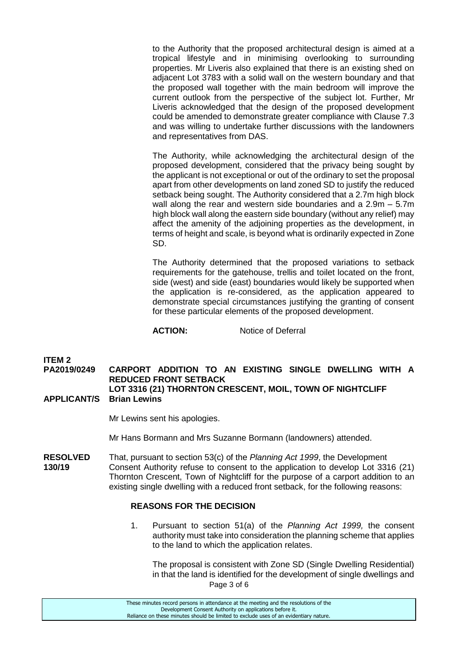to the Authority that the proposed architectural design is aimed at a tropical lifestyle and in minimising overlooking to surrounding properties. Mr Liveris also explained that there is an existing shed on adjacent Lot 3783 with a solid wall on the western boundary and that the proposed wall together with the main bedroom will improve the current outlook from the perspective of the subject lot. Further, Mr Liveris acknowledged that the design of the proposed development could be amended to demonstrate greater compliance with Clause 7.3 and was willing to undertake further discussions with the landowners and representatives from DAS.

The Authority, while acknowledging the architectural design of the proposed development, considered that the privacy being sought by the applicant is not exceptional or out of the ordinary to set the proposal apart from other developments on land zoned SD to justify the reduced setback being sought. The Authority considered that a 2.7m high block wall along the rear and western side boundaries and a 2.9m – 5.7m high block wall along the eastern side boundary (without any relief) may affect the amenity of the adjoining properties as the development, in terms of height and scale, is beyond what is ordinarily expected in Zone SD.

The Authority determined that the proposed variations to setback requirements for the gatehouse, trellis and toilet located on the front, side (west) and side (east) boundaries would likely be supported when the application is re-considered, as the application appeared to demonstrate special circumstances justifying the granting of consent for these particular elements of the proposed development.

**ACTION:** Notice of Deferral

# **ITEM 2**

**PA2019/0249 CARPORT ADDITION TO AN EXISTING SINGLE DWELLING WITH A REDUCED FRONT SETBACK LOT 3316 (21) THORNTON CRESCENT, MOIL, TOWN OF NIGHTCLIFF APPLICANT/S Brian Lewins**

Mr Lewins sent his apologies.

Mr Hans Bormann and Mrs Suzanne Bormann (landowners) attended.

**RESOLVED** That, pursuant to section 53(c) of the *Planning Act 1999*, the Development **130/19** Consent Authority refuse to consent to the application to develop Lot 3316 (21) Thornton Crescent, Town of Nightcliff for the purpose of a carport addition to an existing single dwelling with a reduced front setback, for the following reasons:

## **REASONS FOR THE DECISION**

1. Pursuant to section 51(a) of the *Planning Act 1999,* the consent authority must take into consideration the planning scheme that applies to the land to which the application relates.

Page 3 of 6 The proposal is consistent with Zone SD (Single Dwelling Residential) in that the land is identified for the development of single dwellings and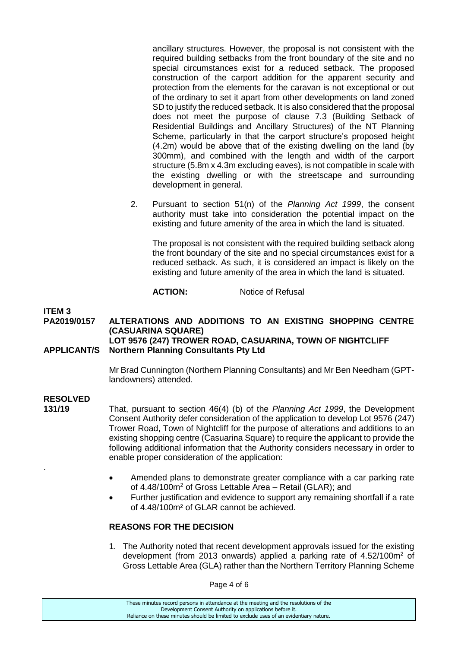ancillary structures. However, the proposal is not consistent with the required building setbacks from the front boundary of the site and no special circumstances exist for a reduced setback. The proposed construction of the carport addition for the apparent security and protection from the elements for the caravan is not exceptional or out of the ordinary to set it apart from other developments on land zoned SD to justify the reduced setback. It is also considered that the proposal does not meet the purpose of clause 7.3 (Building Setback of Residential Buildings and Ancillary Structures) of the NT Planning Scheme, particularly in that the carport structure's proposed height (4.2m) would be above that of the existing dwelling on the land (by 300mm), and combined with the length and width of the carport structure (5.8m x 4.3m excluding eaves), is not compatible in scale with the existing dwelling or with the streetscape and surrounding development in general.

2. Pursuant to section 51(n) of the *Planning Act 1999*, the consent authority must take into consideration the potential impact on the existing and future amenity of the area in which the land is situated.

The proposal is not consistent with the required building setback along the front boundary of the site and no special circumstances exist for a reduced setback. As such, it is considered an impact is likely on the existing and future amenity of the area in which the land is situated.

## **ACTION:** Notice of Refusal

# **ITEM 3**

#### **PA2019/0157 ALTERATIONS AND ADDITIONS TO AN EXISTING SHOPPING CENTRE (CASUARINA SQUARE) LOT 9576 (247) TROWER ROAD, CASUARINA, TOWN OF NIGHTCLIFF APPLICANT/S Northern Planning Consultants Pty Ltd**

Mr Brad Cunnington (Northern Planning Consultants) and Mr Ben Needham (GPTlandowners) attended.

# **RESOLVED**

.

**131/19** That, pursuant to section 46(4) (b) of the *Planning Act 1999*, the Development Consent Authority defer consideration of the application to develop Lot 9576 (247) Trower Road, Town of Nightcliff for the purpose of alterations and additions to an existing shopping centre (Casuarina Square) to require the applicant to provide the following additional information that the Authority considers necessary in order to enable proper consideration of the application:

- Amended plans to demonstrate greater compliance with a car parking rate of 4.48/100m<sup>2</sup> of Gross Lettable Area – Retail (GLAR); and
- Further justification and evidence to support any remaining shortfall if a rate of 4.48/100m² of GLAR cannot be achieved.

## **REASONS FOR THE DECISION**

1. The Authority noted that recent development approvals issued for the existing development (from 2013 onwards) applied a parking rate of 4.52/100m<sup>2</sup> of Gross Lettable Area (GLA) rather than the Northern Territory Planning Scheme

Page 4 of 6

These minutes record persons in attendance at the meeting and the resolutions of the Development Consent Authority on applications before it. Reliance on these minutes should be limited to exclude uses of an evidentiary nature.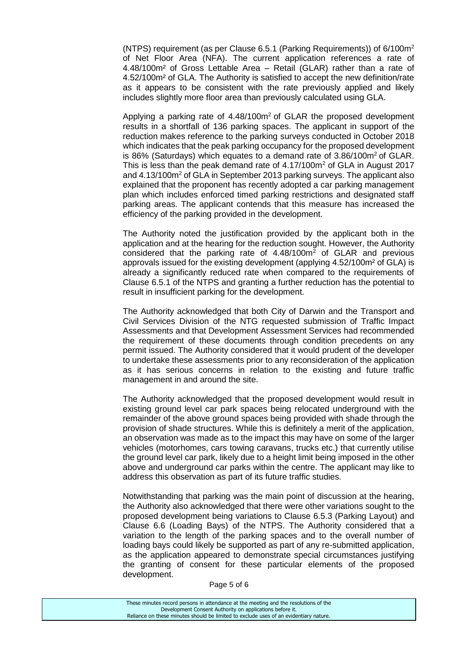(NTPS) requirement (as per Clause 6.5.1 (Parking Requirements)) of  $6/100m^2$ of Net Floor Area (NFA). The current application references a rate of 4.48/100m² of Gross Lettable Area – Retail (GLAR) rather than a rate of 4.52/100m² of GLA. The Authority is satisfied to accept the new definition/rate as it appears to be consistent with the rate previously applied and likely includes slightly more floor area than previously calculated using GLA.

Applying a parking rate of  $4.48/100m^2$  of GLAR the proposed development results in a shortfall of 136 parking spaces. The applicant in support of the reduction makes reference to the parking surveys conducted in October 2018 which indicates that the peak parking occupancy for the proposed development is 86% (Saturdays) which equates to a demand rate of  $3.86/100m^2$  of GLAR. This is less than the peak demand rate of 4.17/100m<sup>2</sup> of GLA in August 2017 and 4.13/100m<sup>2</sup> of GLA in September 2013 parking surveys. The applicant also explained that the proponent has recently adopted a car parking management plan which includes enforced timed parking restrictions and designated staff parking areas. The applicant contends that this measure has increased the efficiency of the parking provided in the development.

The Authority noted the justification provided by the applicant both in the application and at the hearing for the reduction sought. However, the Authority considered that the parking rate of  $4.48/100m^2$  of GLAR and previous approvals issued for the existing development (applying 4.52/100m² of GLA) is already a significantly reduced rate when compared to the requirements of Clause 6.5.1 of the NTPS and granting a further reduction has the potential to result in insufficient parking for the development.

The Authority acknowledged that both City of Darwin and the Transport and Civil Services Division of the NTG requested submission of Traffic Impact Assessments and that Development Assessment Services had recommended the requirement of these documents through condition precedents on any permit issued. The Authority considered that it would prudent of the developer to undertake these assessments prior to any reconsideration of the application as it has serious concerns in relation to the existing and future traffic management in and around the site.

The Authority acknowledged that the proposed development would result in existing ground level car park spaces being relocated underground with the remainder of the above ground spaces being provided with shade through the provision of shade structures. While this is definitely a merit of the application, an observation was made as to the impact this may have on some of the larger vehicles (motorhomes, cars towing caravans, trucks etc.) that currently utilise the ground level car park, likely due to a height limit being imposed in the other above and underground car parks within the centre. The applicant may like to address this observation as part of its future traffic studies.

Notwithstanding that parking was the main point of discussion at the hearing, the Authority also acknowledged that there were other variations sought to the proposed development being variations to Clause 6.5.3 (Parking Layout) and Clause 6.6 (Loading Bays) of the NTPS. The Authority considered that a variation to the length of the parking spaces and to the overall number of loading bays could likely be supported as part of any re-submitted application, as the application appeared to demonstrate special circumstances justifying the granting of consent for these particular elements of the proposed development.